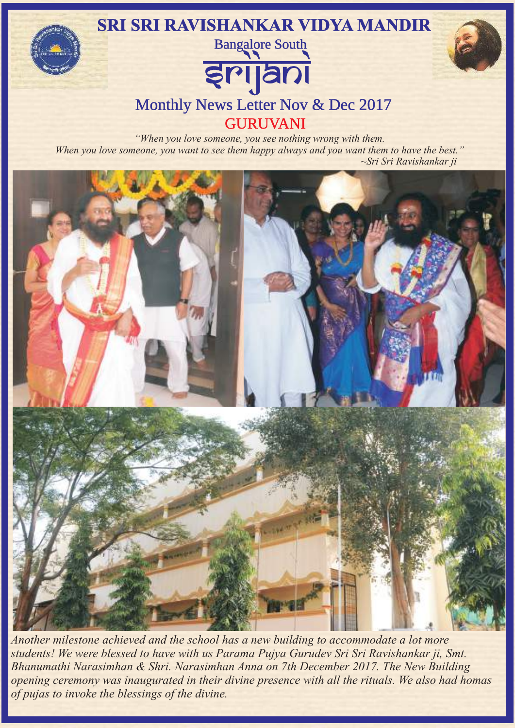

*"When you love someone, you see nothing wrong with them. When you love someone, you want to see them happy always and you want them to have the best." ~Sri Sri Ravishankar ji* 



*Another milestone achieved and the school has a new building to accommodate a lot more students! We were blessed to have with us Parama Pujya Gurudev Sri Sri Ravishankar ji, Smt. Bhanumathi Narasimhan & Shri. Narasimhan Anna on 7th December 2017. The New Building opening ceremony was inaugurated in their divine presence with all the rituals. We also had homas of pujas to invoke the blessings of the divine.*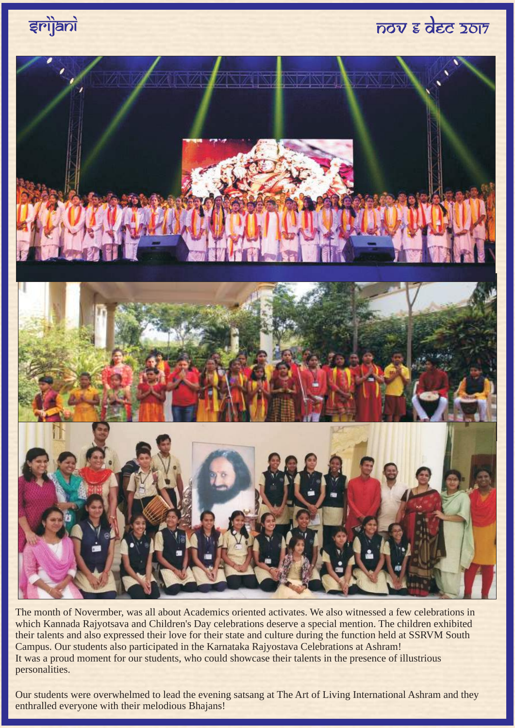

# Saulani estade de contra la contrada de la contrada de la contrada de la contrada de la contrada de la contrada



The month of Novermber, was all about Academics oriented activates. We also witnessed a few celebrations in which Kannada Rajyotsava and Children's Day celebrations deserve a special mention. The children exhibited their talents and also expressed their love for their state and culture during the function held at SSRVM South Campus. Our students also participated in the Karnataka Rajyostava Celebrations at Ashram! It was a proud moment for our students, who could showcase their talents in the presence of illustrious personalities.

Our students were overwhelmed to lead the evening satsang at The Art of Living International Ashram and they enthralled everyone with their melodious Bhajans!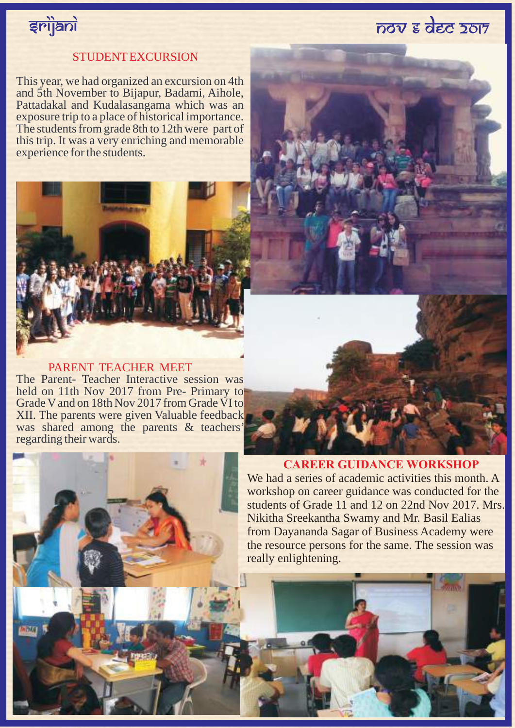

#### STUDENTEXCURSION

This year, we had organized an excursion on 4th and 5th November to Bijapur, Badami, Aihole, Pattadakal and Kudalasangama which was an exposure trip to a place of historical importance. The students from grade 8th to 12th were part of this trip. It was a very enriching and memorable experience for the students.



### PARENT TEACHER MEET

The Parent- Teacher Interactive session was held on 11th Nov 2017 from Pre- Primary to Grade Vand on 18th Nov 2017 from Grade VI to XII. The parents were given Valuable feedback was shared among the parents & teachers' regarding their wards.



We had a series of academic activities this month. A workshop on career guidance was conducted for the students of Grade 11 and 12 on 22nd Nov 2017. Mrs. Nikitha Sreekantha Swamy and Mr. Basil Ealias from Dayananda Sagar of Business Academy were the resource persons for the same. The session was really enlightening.

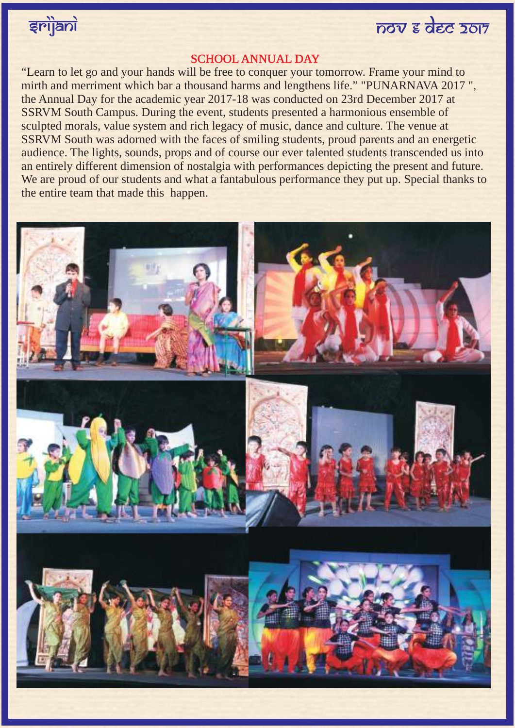



#### SCHOOL ANNUAL DAY

"Learn to let go and your hands will be free to conquer your tomorrow. Frame your mind to mirth and merriment which bar a thousand harms and lengthens life." "PUNARNAVA 2017", the Annual Day for the academic year 2017-18 was conducted on 23rd December 2017 at SSRVM South Campus. During the event, students presented a harmonious ensemble of sculpted morals, value system and rich legacy of music, dance and culture. The venue at SSRVM South was adorned with the faces of smiling students, proud parents and an energetic audience. The lights, sounds, props and of course our ever talented students transcended us into an entirely different dimension of nostalgia with performances depicting the present and future. We are proud of our students and what a fantabulous performance they put up. Special thanks to the entire team that made this happen.

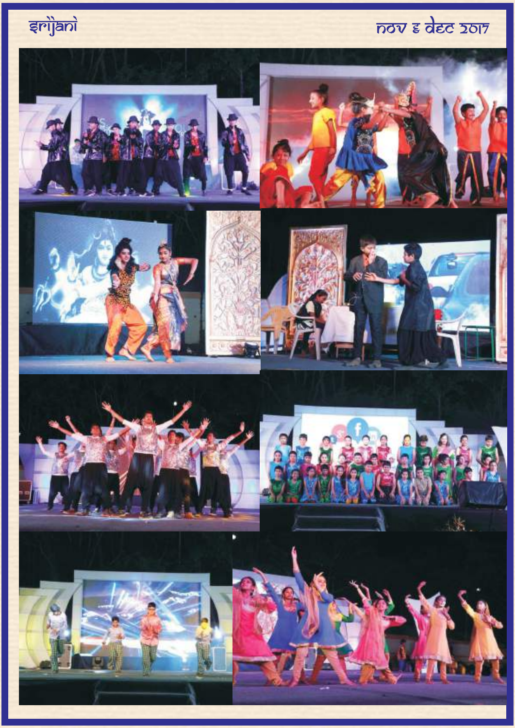

# Saula Salamani et al. 1997 et al. 1997 et al. 1997 et al. 1997 et al. 1997 et al. 1997 et al. 1997 et al. 1997

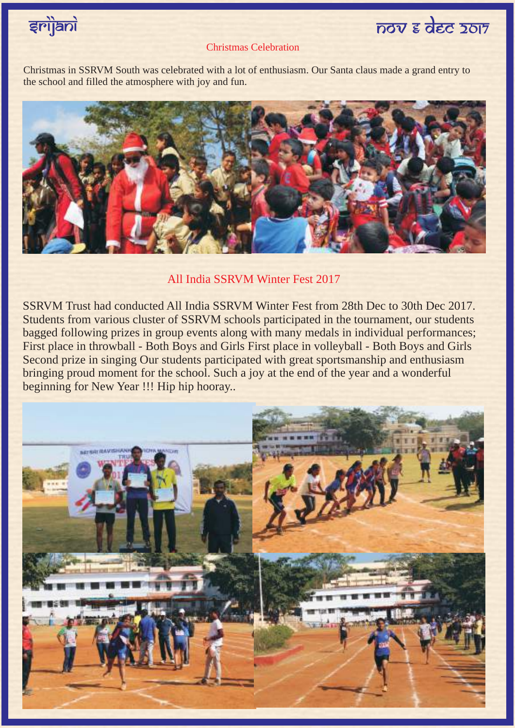



#### Christmas Celebration

Christmas in SSRVM South was celebrated with a lot of enthusiasm. Our Santa claus made a grand entry to the school and filled the atmosphere with joy and fun.



All India SSRVM Winter Fest 2017

SSRVM Trust had conducted All India SSRVM Winter Fest from 28th Dec to 30th Dec 2017. Students from various cluster of SSRVM schools participated in the tournament, our students bagged following prizes in group events along with many medals in individual performances; First place in throwball - Both Boys and Girls First place in volleyball - Both Boys and Girls Second prize in singing Our students participated with great sportsmanship and enthusiasm bringing proud moment for the school. Such a joy at the end of the year and a wonderful beginning for New Year !!! Hip hip hooray..

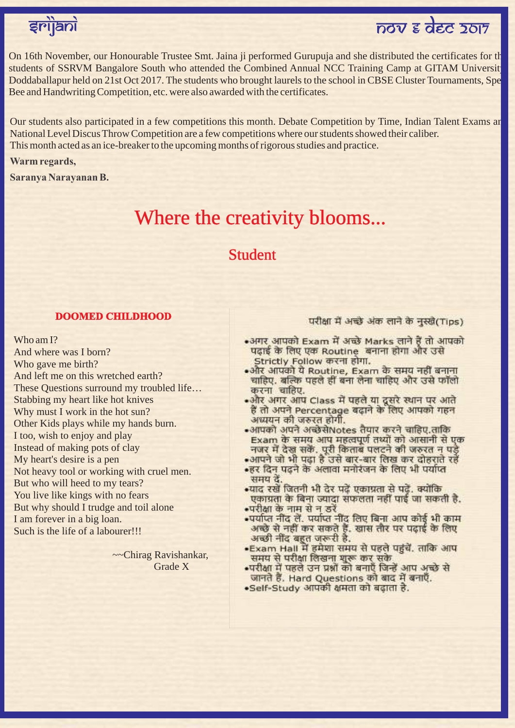

## Saula Saula de Característica en la contradición de la contradición de la contradición de la contradición de la

On 16th November, our Honourable Trustee Smt. Jaina ji performed Gurupuja and she distributed the certificates for the students of SSRVM Bangalore South who attended the Combined Annual NCC Training Camp at GITAM University Doddaballapur held on 21st Oct 2017. The students who brought laurels to the school in CBSE Cluster Tournaments, Spe Bee and Handwriting Competition, etc. were also awarded with the certificates.

Our students also participated in a few competitions this month. Debate Competition by Time, Indian Talent Exams and National Level Discus Throw Competition are a few competitions where our students showed their caliber. This month acted as an ice-breaker to the upcoming months of rigorous studies and practice.

**Warm regards,**

**Saranya Narayanan B.**

### Where the creativity blooms...

### Student

#### **DOOMED CHILDHOOD**

Who am I?

And where was I born? Who gave me birth? And left me on this wretched earth? These Questions surround my troubled life… Stabbing my heart like hot knives Why must I work in the hot sun? Other Kids plays while my hands burn. I too, wish to enjoy and play Instead of making pots of clay My heart's desire is a pen Not heavy tool or working with cruel men. But who will heed to my tears? You live like kings with no fears But why should I trudge and toil alone I am forever in a big loan. Such is the life of a labourer!!!

> ~~Chirag Ravishankar, Grade X

परीक्षा में अच्छे अंक लाने के नुस्खे(Tips)

- •अगर आपको Exam में अच्छे Marks लाने हैं तो आपको पढ़ाई के लिए एक Routine बनाना होगा और उसे Strictly Follow करना होगा.
- •और आपको ये Routine, Exam के समय नहीं बनाना चाहिए. बल्कि पहले हीं बना लेना चाहिए और उसे फॉलो करना चाहिए.
- •और अगर आप Class में पहले या दूसरे स्थान पर आते हैं तो अपने Percentage बढ़ाने के लिए आपको गहन अध्ययन की जरुरत होगी.
- •आपको अपने अच्छेसेNotes तैयार करने चाहिए.ताकि Exam के समय आप महत्वपूर्ण तथ्यों को आसानी से एक<br>नजर में देख सकें. पूरी किताब पलटने की जरुरत न पड़े
- •आपने जो भी पढ़ा है उसे बार-बार लिख कर दोहराते रहें •हर दिन पढने के अलावा मनोरंजन के लिए भी पर्याप्त
- समय दें.
- •याद रखें जितनी भी देर पढ़ें एकाग्रता से पढ़ें. क्योंकि एकाग्रता के बिना ज्यादा सफलता नहीं पाई जा सकती है. •परीक्षा के नाम से न डरें
- -पर्याप्त नींद लें. पर्याप्त नींद लिए बिना आप कोई भी काम अच्छे से नहीं कर सकते हैं. खास तौर पर पढ़ाई के लिए<br>अच्छे से नहीं कर सकते हैं. खास तौर पर पढ़ाई के लिए
- •Exam Hall में हमेशा समय से पहले पहुंचें. ताकि आप समय से परीक्षा लिखना शुरू कर सके
- •परीक्षा में पहले उन प्रश्नों को बनाएँ जिन्हें आप अच्छे से जानते हैं. Hard Questions को बाद में बनाएँ.
- •Self-Study आपकी क्षमता को बढ़ाता है.